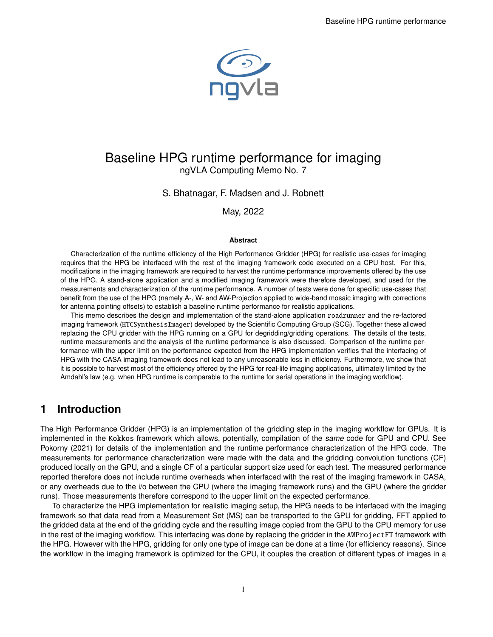

## Baseline HPG runtime performance for imaging ngVLA Computing Memo No. 7

#### S. Bhatnagar, F. Madsen and J. Robnett

May, 2022

#### **Abstract**

Characterization of the runtime efficiency of the High Performance Gridder (HPG) for realistic use-cases for imaging requires that the HPG be interfaced with the rest of the imaging framework code executed on a CPU host. For this, modifications in the imaging framework are required to harvest the runtime performance improvements offered by the use of the HPG. A stand-alone application and a modified imaging framework were therefore developed, and used for the measurements and characterization of the runtime performance. A number of tests were done for specific use-cases that benefit from the use of the HPG (namely A-, W- and AW-Projection applied to wide-band mosaic imaging with corrections for antenna pointing offsets) to establish a baseline runtime performance for realistic applications.

This memo describes the design and implementation of the stand-alone application roadrunner and the re-factored imaging framework (HTCSynthesisImager) developed by the Scientific Computing Group (SCG). Together these allowed replacing the CPU gridder with the HPG running on a GPU for degridding/gridding operations. The details of the tests, runtime measurements and the analysis of the runtime performance is also discussed. Comparison of the runtime performance with the upper limit on the performance expected from the HPG implementation verifies that the interfacing of HPG with the CASA imaging framework does not lead to any unreasonable loss in efficiency. Furthermore, we show that it is possible to harvest most of the efficiency offered by the HPG for real-life imaging applications, ultimately limited by the Amdahl's law (e.g. when HPG runtime is comparable to the runtime for serial operations in the imaging workflow).

### **1 Introduction**

The High Performance Gridder (HPG) is an implementation of the gridding step in the imaging workflow for GPUs. It is implemented in the Kokkos framework which allows, potentially, compilation of the same code for GPU and CPU. See [Pokorny](#page-10-0) [\(2021\)](#page-10-0) for details of the implementation and the runtime performance characterization of the HPG code. The measurements for performance characterization were made with the data and the gridding convolution functions (CF) produced locally on the GPU, and a single CF of a particular support size used for each test. The measured performance reported therefore does not include runtime overheads when interfaced with the rest of the imaging framework in CASA, or any overheads due to the i/o between the CPU (where the imaging framework runs) and the GPU (where the gridder runs). Those measurements therefore correspond to the upper limit on the expected performance.

To characterize the HPG implementation for realistic imaging setup, the HPG needs to be interfaced with the imaging framework so that data read from a Measurement Set (MS) can be transported to the GPU for gridding, FFT applied to the gridded data at the end of the gridding cycle and the resulting image copied from the GPU to the CPU memory for use in the rest of the imaging workflow. This interfacing was done by replacing the gridder in the AWProjectFT framework with the HPG. However with the HPG, gridding for only one type of image can be done at a time (for efficiency reasons). Since the workflow in the imaging framework is optimized for the CPU, it couples the creation of different types of images in a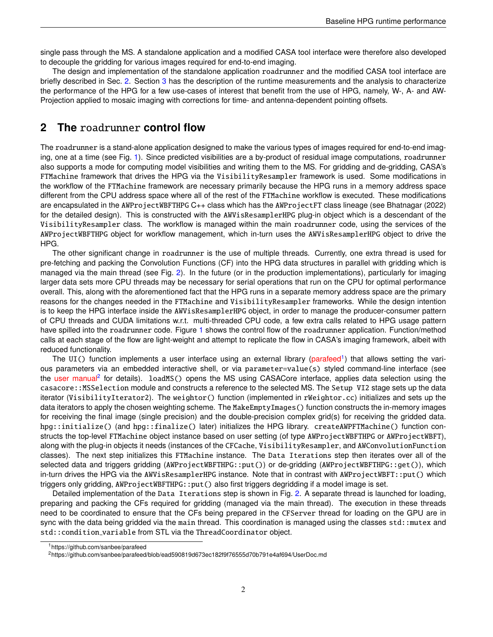single pass through the MS. A standalone application and a modified CASA tool interface were therefore also developed to decouple the gridding for various images required for end-to-end imaging.

The design and implementation of the standalone application roadrunner and the modified CASA tool interface are briefly described in Sec. [2.](#page-1-0) Section [3](#page-2-0) has the description of the runtime measurements and the analysis to characterize the performance of the HPG for a few use-cases of interest that benefit from the use of HPG, namely, W-, A- and AW-Projection applied to mosaic imaging with corrections for time- and antenna-dependent pointing offsets.

### <span id="page-1-0"></span>**2 The** roadrunner **control flow**

The roadrunner is a stand-alone application designed to make the various types of images required for end-to-end imaging, one at a time (see Fig. [1\)](#page-6-0). Since predicted visibilities are a by-product of residual image computations, roadrunner also supports a mode for computing model visibilities and writing them to the MS. For gridding and de-gridding, CASA's FTMachine framework that drives the HPG via the VisibilityResampler framework is used. Some modifications in the workflow of the FTMachine framework are necessary primarily because the HPG runs in a memory address space different from the CPU address space where all of the rest of the FTMachine workflow is executed. These modifications are encapsulated in the AWProjectWBFTHPG C++ class which has the AWProjectFT class lineage (see [Bhatnagar](#page-10-1) [\(2022\)](#page-10-1) for the detailed design). This is constructed with the AWVisResamplerHPG plug-in object which is a descendant of the VisibilityResampler class. The workflow is managed within the main roadrunner code, using the services of the AWProjectWBFTHPG object for workflow management, which in-turn uses the AWVisResamplerHPG object to drive the HPG.

The other significant change in roadrunner is the use of multiple threads. Currently, one extra thread is used for pre-fetching and packing the Convolution Functions (CF) into the HPG data structures in parallel with gridding which is managed via the main thread (see Fig. [2\)](#page-7-0). In the future (or in the production implementations), particularly for imaging larger data sets more CPU threads may be necessary for serial operations that run on the CPU for optimal performance overall. This, along with the aforementioned fact that the HPG runs in a separate memory address space are the primary reasons for the changes needed in the FTMachine and VisibilityResampler frameworks. While the design intention is to keep the HPG interface inside the AWVisResamplerHPG object, in order to manage the producer-consumer pattern of CPU threads and CUDA limitations w.r.t. multi-threaded CPU code, a few extra calls related to HPG usage pattern have spilled into the roadrunner code. Figure [1](#page-6-0) shows the control flow of the roadrunner application. Function/method calls at each stage of the flow are light-weight and attempt to replicate the flow in CASA's imaging framework, albeit with reduced functionality.

The UI() function implements a user interface using an external library [\(parafeed](https://github.com/sanbee/parafeed)<sup>[1](#page-1-1)</sup>) that allows setting the various parameters via an embedded interactive shell, or via parameter=value(s) styled command-line interface (see the [user manual](https://github.com/sanbee/parafeed/blob/ead590819d673ec182f9f76555d70b791e4af694/UserDoc.md)<sup>[2](#page-1-2)</sup> for details). loadMS() opens the MS using CASACore interface, applies data selection using the casacore::MSSelection module and constructs a reference to the selected MS. The Setup VI2 stage sets up the data iterator (VisibilityIterator2). The weightor() function (implemented in rWeightor.cc) initializes and sets up the data iterators to apply the chosen weighting scheme. The MakeEmptyImages() function constructs the in-memory images for receiving the final image (single precision) and the double-precision complex grid(s) for receiving the gridded data. hpg::initialize() (and hpg::finalize() later) initializes the HPG library. createAWPFTMachine() function constructs the top-level FTMachine object instance based on user setting (of type AWProjectWBFTHPG or AWProjectWBFT), along with the plug-in objects it needs (instances of the CFCache, VisibilityResampler, and AWConvolutionFunction classes). The next step initializes this FTMachine instance. The Data Iterations step then iterates over all of the selected data and triggers gridding (AWProjectWBFTHPG::put()) or de-gridding (AWProjectWBFTHPG::get()), which in-turn drives the HPG via the AWVisResamplerHPG instance. Note that in contrast with AWProjectWBFT::put() which triggers only gridding, AWProjectWBFTHPG::put() also first triggers degridding if a model image is set.

Detailed implementation of the Data Iterations step is shown in Fig. [2.](#page-7-0) A separate thread is launched for loading, preparing and packing the CFs required for gridding (managed via the main thread). The execution in these threads need to be coordinated to ensure that the CFs being prepared in the CFServer thread for loading on the GPU are in sync with the data being gridded via the main thread. This coordination is managed using the classes std:: mutex and std::condition variable from STL via the ThreadCoordinator object.

<span id="page-1-1"></span><sup>&</sup>lt;sup>1</sup>https://github.com/sanbee/parafeed

<span id="page-1-2"></span><sup>2</sup>https://github.com/sanbee/parafeed/blob/ead590819d673ec182f9f76555d70b791e4af694/UserDoc.md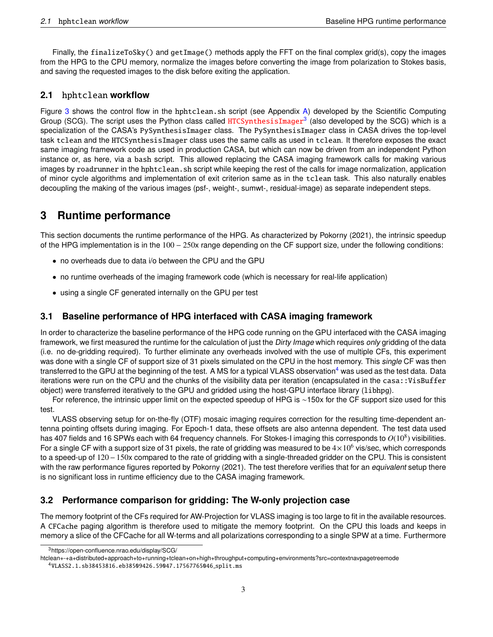Finally, the finalizeToSky() and getImage() methods apply the FFT on the final complex grid(s), copy the images from the HPG to the CPU memory, normalize the images before converting the image from polarization to Stokes basis, and saving the requested images to the disk before exiting the application.

### **2.1** hphtclean **workflow**

Figure [3](#page-8-0) shows the control flow in the hphtclean.sh script (see Appendix [A\)](#page-11-0) developed by the Scientific Computing Group (SCG). The script uses the Python class called [HTCSynthesisImager](https://open-confluence.nrao.edu/display/SCG/\htclean+-+a+distributed+approach+to+running+tclean+on+high+throughput+computing+environments?src=contextnavpagetreemode)<sup>[3](#page-2-1)</sup> (also developed by the SCG) which is a specialization of the CASA's PySynthesisImager class. The PySynthesisImager class in CASA drives the top-level task tclean and the HTCSynthesisImager class uses the same calls as used in tclean. It therefore exposes the exact same imaging framework code as used in production CASA, but which can now be driven from an independent Python instance or, as here, via a bash script. This allowed replacing the CASA imaging framework calls for making various images by roadrunner in the hphtclean. sh script while keeping the rest of the calls for image normalization, application of minor cycle algorithms and implementation of exit criterion same as in the tclean task. This also naturally enables decoupling the making of the various images (psf-, weight-, sumwt-, residual-image) as separate independent steps.

# <span id="page-2-0"></span>**3 Runtime performance**

This section documents the runtime performance of the HPG. As characterized by [Pokorny](#page-10-0) [\(2021\)](#page-10-0), the intrinsic speedup of the HPG implementation is in the 100 − 250x range depending on the CF support size, under the following conditions:

- no overheads due to data i/o between the CPU and the GPU
- no runtime overheads of the imaging framework code (which is necessary for real-life application)
- using a single CF generated internally on the GPU per test

### <span id="page-2-3"></span>**3.1 Baseline performance of HPG interfaced with CASA imaging framework**

In order to characterize the baseline performance of the HPG code running on the GPU interfaced with the CASA imaging framework, we first measured the runtime for the calculation of just the Dirty Image which requires only gridding of the data (i.e. no de-gridding required). To further eliminate any overheads involved with the use of multiple CFs, this experiment was done with a single CF of support size of 31 pixels simulated on the CPU in the host memory. This single CF was then transferred to the GPU at the beginning of the test. A MS for a typical VLASS observation<sup>[4](#page-2-2)</sup> was used as the test data. Data iterations were run on the CPU and the chunks of the visibility data per iteration (encapsulated in the casa::VisBuffer object) were transferred iteratively to the GPU and gridded using the host-GPU interface library (libhpg).

For reference, the intrinsic upper limit on the expected speedup of HPG is ∼150x for the CF support size used for this test.

VLASS observing setup for on-the-fly (OTF) mosaic imaging requires correction for the resulting time-dependent antenna pointing offsets during imaging. For Epoch-1 data, these offsets are also antenna dependent. The test data used has 407 fields and 16 SPWs each with 64 frequency channels. For Stokes-I imaging this corresponds to  $O(10^8)$  visibilities. For a single CF with a support size of 31 pixels, the rate of gridding was measured to be  $4\times10^6$  vis/sec, which corresponds to a speed-up of 120−150x compared to the rate of gridding with a single-threaded gridder on the CPU. This is consistent with the raw performance figures reported by [Pokorny](#page-10-0) [\(2021\)](#page-10-0). The test therefore verifies that for an equivalent setup there is no significant loss in runtime efficiency due to the CASA imaging framework.

### <span id="page-2-4"></span>**3.2 Performance comparison for gridding: The W-only projection case**

The memory footprint of the CFs required for AW-Projection for VLASS imaging is too large to fit in the available resources. A CFCache paging algorithm is therefore used to mitigate the memory footprint. On the CPU this loads and keeps in memory a slice of the CFCache for all W-terms and all polarizations corresponding to a single SPW at a time. Furthermore

<span id="page-2-1"></span><sup>3</sup>https://open-confluence.nrao.edu/display/SCG/

htclean+-+a+distributed+approach+to+running+tclean+on+high+throughput+computing+environments?src=contextnavpagetreemode

<span id="page-2-2"></span><sup>4</sup>VLASS2.1.sb38453816.eb38509426.59047.17567765046 split.ms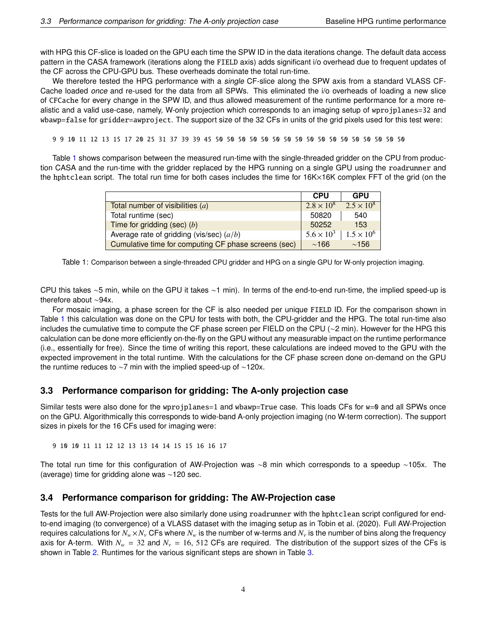with HPG this CF-slice is loaded on the GPU each time the SPW ID in the data iterations change. The default data access pattern in the CASA framework (iterations along the FIELD axis) adds significant i/o overhead due to frequent updates of the CF across the CPU-GPU bus. These overheads dominate the total run-time.

We therefore tested the HPG performance with a single CF-slice along the SPW axis from a standard VLASS CF-Cache loaded once and re-used for the data from all SPWs. This eliminated the i/o overheads of loading a new slice of CFCache for every change in the SPW ID, and thus allowed measurement of the runtime performance for a more realistic and a valid use-case, namely, W-only projection which corresponds to an imaging setup of wprojplanes=32 and wbawp=false for gridder=awproject. The support size of the 32 CFs in units of the grid pixels used for this test were:

9 9 10 11 12 13 15 17 20 25 31 37 39 39 45 50 50 50 50 50 50 50 50 50 50 50 50 50 50 50 50 50

<span id="page-3-0"></span>Table [1](#page-3-0) shows comparison between the measured run-time with the single-threaded gridder on the CPU from production CASA and the run-time with the gridder replaced by the HPG running on a single GPU using the roadrunner and the hphtclean script. The total run time for both cases includes the time for 16K×16K complex FFT of the grid (on the

|                                                      | <b>CPU</b>          | <b>GPU</b>          |
|------------------------------------------------------|---------------------|---------------------|
| Total number of visibilities $(a)$                   | $2.8 \times 10^8$   | $2.5 \times 10^8$   |
| Total runtime (sec)                                  | 50820               | 540                 |
| Time for gridding (sec) $(b)$                        | 50252               | 153                 |
| Average rate of gridding (vis/sec) $(a/b)$           | $5.6 \times 10^{3}$ | $1.5 \times 10^{6}$ |
| Cumulative time for computing CF phase screens (sec) | $\sim$ 166          | $\sim$ 156          |

Table 1: Comparison between a single-threaded CPU gridder and HPG on a single GPU for W-only projection imaging.

CPU this takes ∼5 min, while on the GPU it takes ∼1 min). In terms of the end-to-end run-time, the implied speed-up is therefore about ∼94x.

For mosaic imaging, a phase screen for the CF is also needed per unique FIELD ID. For the comparison shown in Table [1](#page-3-0) this calculation was done on the CPU for tests with both, the CPU-gridder and the HPG. The total run-time also includes the cumulative time to compute the CF phase screen per FIELD on the CPU (∼2 min). However for the HPG this calculation can be done more efficiently on-the-fly on the GPU without any measurable impact on the runtime performance (i.e., essentially for free). Since the time of writing this report, these calculations are indeed moved to the GPU with the expected improvement in the total runtime. With the calculations for the CF phase screen done on-demand on the GPU the runtime reduces to ∼7 min with the implied speed-up of ∼120x.

#### <span id="page-3-1"></span>**3.3 Performance comparison for gridding: The A-only projection case**

Similar tests were also done for the wprojplanes=1 and wbawp=True case. This loads CFs for w=0 and all SPWs once on the GPU. Algorithmically this corresponds to wide-band A-only projection imaging (no W-term correction). The support sizes in pixels for the 16 CFs used for imaging were:

9 10 10 11 11 12 12 13 13 14 14 15 15 16 16 17

The total run time for this configuration of AW-Projection was ∼8 min which corresponds to a speedup ∼105x. The (average) time for gridding alone was ∼120 sec.

#### <span id="page-3-2"></span>**3.4 Performance comparison for gridding: The AW-Projection case**

Tests for the full AW-Projection were also similarly done using roadrunner with the hphtclean script configured for endto-end imaging (to convergence) of a VLASS dataset with the imaging setup as in [Tobin et al.](#page-10-2) [\(2020\)](#page-10-2). Full AW-Projection requires calculations for  $N_w \times N_v$  CFs where  $N_w$  is the number of w-terms and  $N_v$  is the number of bins along the frequency axis for A-term. With  $N_w = 32$  and  $N_v = 16$ , 512 CFs are required. The distribution of the support sizes of the CFs is shown in Table [2.](#page-4-0) Runtimes for the various significant steps are shown in Table [3.](#page-5-0)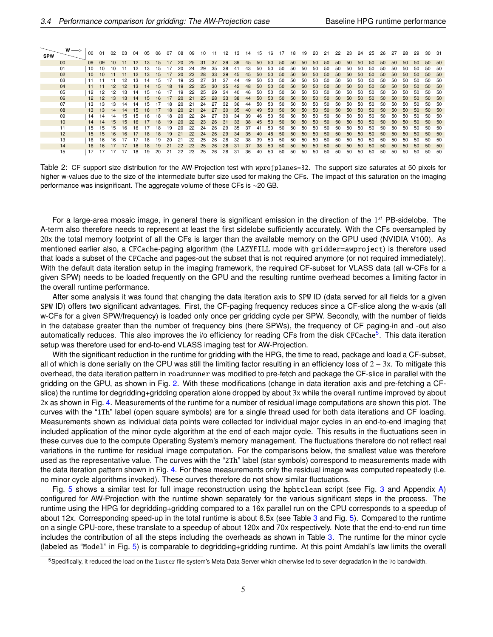<span id="page-4-0"></span>

| <b>SPW</b> | $w \rightarrow$ | 00 | 01 | 02 | 03              | 04 | 05 | 06  | 07 | 08 | 09 | 10 |    | 12  | 13 | 14 | 15 | 16           | 17              | 18           | 19 | 20 | 21 | 22 | 23              | 24 | 25           | 26           | 27 | 28 | 29           | 30           | -31          |
|------------|-----------------|----|----|----|-----------------|----|----|-----|----|----|----|----|----|-----|----|----|----|--------------|-----------------|--------------|----|----|----|----|-----------------|----|--------------|--------------|----|----|--------------|--------------|--------------|
|            | 00              | 09 | 09 | 10 |                 |    |    | 15  |    | 20 | 25 | 31 | 37 | 39  | 39 | 45 | 50 | $50^{\circ}$ | 50 <sub>5</sub> | $50^{\circ}$ | 50 | 50 | 50 | 50 | 50              | 50 | 50           | 50           | 50 | 50 | 50           | 50           | 50           |
|            | 01              | 10 | 10 | 10 |                 |    |    | 15. |    | 20 | 24 | 29 | 35 | 38  |    |    | 50 | 50           | 50              | 50           | 50 | 50 | 50 | 50 | 50              | 50 | 50           | 50           | 50 | 50 | 50           | 50           | 50           |
|            | 02              | 10 | 10 |    |                 |    |    | 15  |    | 20 | 23 | 28 | 33 | 39  | 45 | 45 | 50 | $50^{\circ}$ | $50^{\circ}$    | $50^{\circ}$ | 50 | 50 | 50 | 50 | $50^{\circ}$    | 50 | 50           | 50           | 50 | 50 | $50^{\circ}$ | 50           | 50           |
|            | 03              | 11 |    |    |                 |    |    | 15  |    | 19 | 23 |    | 31 | 37  | 44 | 49 | 50 | 50           | 50              | 50           | 50 | 50 | 50 | 50 | 50              | 50 | 50           | 50           | 50 | 50 | 50           | 50           | 50           |
|            | 04              | 11 |    | 12 | 12 <sup>2</sup> | 13 | 14 | 15  | 18 | 19 | 22 | 25 | 30 | 35  | 42 | 48 | 50 | $50^{\circ}$ | 50 <sub>5</sub> | $50^{\circ}$ | 50 | 50 | 50 | 50 | $50^{\circ}$    | 50 | 50           | 50           | 50 | 50 | $50^{\circ}$ | 50           | 50           |
|            | 05              | 12 | 12 | 12 | 13              | 14 | 15 | 16  |    | 19 | 22 | 25 | 29 | 34  | 40 | 46 | 50 | 50           | 50              | 50           | 50 | 50 | 50 | 50 | 50              | 50 | 50           | 50           | 50 | 50 | 50           | 50           | 50           |
|            | 06              | 12 | 12 | 13 | 13              | 14 | 15 | 16  | 17 | 20 | 21 | 25 | 28 | 33  | 38 | 44 | 50 | 50           | $50^{\circ}$    | $50^{\circ}$ | 50 | 50 | 50 | 50 | 50              | 50 | 50           | 50           | 50 | 50 | $50^{\circ}$ | $50^{\circ}$ | 50           |
|            | 07              | 13 | 13 | 13 | 14              | 14 | 15 |     | 18 | 20 | 21 | 24 | 27 | 32  | 36 | 44 | 50 | 50           | 50              | 50           | 50 | 50 | 50 | 50 | 50              | 50 | 50           | 50           | 50 | 50 | .50          | 50           | 50           |
|            | 08              | 13 | 13 | 14 | 14              | 15 | 16 |     | 18 | 20 | 21 | 24 | 27 | 30  | 35 | 40 | 49 | 50           | 50 <sub>5</sub> | $50^{\circ}$ | 50 | 50 | 50 | 50 | 50 <sub>2</sub> | 50 | $50^{\circ}$ | $50^{\circ}$ | 50 | 50 | 50           | $50^{\circ}$ | 50           |
|            | 09              | 14 | 14 | 14 | 15              | 15 | 16 | 18  | 18 | 20 | 22 | 24 | 27 | 30. | 34 | 39 | 46 | 50           | 50              | 50           | 50 | 50 | 50 | 50 | 50              | 50 | 50           | 50           | 50 | 50 | 50           | 50           | 50           |
|            | 10              | 14 | 14 | 15 | 15              |    |    | 18  | 19 | 20 | 22 | 23 | 26 | 31  | 33 | 38 | 45 | $50^{\circ}$ | $50^{\circ}$    | $50^{\circ}$ | 50 | 50 | 50 | 50 | 50              | 50 | 50           | $50^{\circ}$ | 50 | 50 | 50           | $50^{\circ}$ | $50^{\circ}$ |
|            | 11              | 15 | 15 | 15 |                 |    |    | 18  | 19 | 20 |    | 24 | 26 | 29  | 35 | 37 | 41 | 50           | 50              | 50           | 50 | 50 | 50 | 50 | 50              | 50 | 50           | 50           | 50 | 50 | 50           | 50           | 50           |
|            | 12              | 15 | 15 | 16 |                 |    |    |     | 19 |    | 22 | 24 | 26 | 29  | 34 | 35 | 40 | 48           | $50^{\circ}$    | $50^{\circ}$ | 50 | 50 | 50 | 50 | 50              | 50 | 50           | 50           | 50 | 50 | 50           | $50^{\circ}$ | 50           |
|            | 13              | 16 | 16 | 16 |                 |    |    |     |    |    |    | 25 | 26 | 28  | 32 | 38 | 39 | 50           | 50              | 50           | 50 | 50 | 50 | 50 | 50              | 50 | 50           | 50           | 50 | 50 | .50          | 50           | -50          |
|            | 14              | 16 | 16 |    |                 |    |    |     |    |    | 23 | 25 | 26 | 28  | 31 | 37 | 38 | 50           | $50^{\circ}$    | 50           | 50 | 50 | 50 | 50 | 50              | 50 | 50           | 50           | 50 | 50 | $50^{\circ}$ | 50           | $50^{\circ}$ |
|            | 15              |    |    |    |                 |    |    | 20  |    | 22 | 23 | 25 | 26 | 28  | 31 | 36 | 40 | 50           | 50              | 50           | 50 | 50 | 50 | 50 | 50              | 50 | 50           | 50           | 50 | 50 | 50           | 50           | 50           |

Table 2: CF support size distribution for the AW-Projection test with wprojplanes=32. The support size saturates at 50 pixels for higher w-values due to the size of the intermediate buffer size used for making the CFs. The impact of this saturation on the imaging performance was insignificant. The aggregate volume of these CFs is ∼20 GB.

For a large-area mosaic image, in general there is significant emission in the direction of the 1<sup>st</sup> PB-sidelobe. The A-term also therefore needs to represent at least the first sidelobe sufficiently accurately. With the CFs oversampled by 20x the total memory footprint of all the CFs is larger than the available memory on the GPU used (NVIDIA V100). As mentioned earlier also, a CFCache-paging algorithm (the LAZYFILL mode with gridder=awproject) is therefore used that loads a subset of the CFCache and pages-out the subset that is not required anymore (or not required immediately). With the default data iteration setup in the imaging framework, the required CF-subset for VLASS data (all w-CFs for a given SPW) needs to be loaded frequently on the GPU and the resulting runtime overhead becomes a limiting factor in the overall runtime performance.

After some analysis it was found that changing the data iteration axis to SPW ID (data served for all fields for a given SPW ID) offers two significant advantages. First, the CF-paging frequency reduces since a CF-slice along the w-axis (all w-CFs for a given SPW/frequency) is loaded only once per gridding cycle per SPW. Secondly, with the number of fields in the database greater than the number of frequency bins (here SPWs), the frequency of CF paging-in and -out also automatically reduces. This also improves the i/o efficiency for reading CFs from the disk CFCache<sup>[5](#page-4-1)</sup>. This data iteration setup was therefore used for end-to-end VLASS imaging test for AW-Projection.

With the significant reduction in the runtime for gridding with the HPG, the time to read, package and load a CF-subset, all of which is done serially on the CPU was still the limiting factor resulting in an efficiency loss of  $2 - 3x$ . To mitigate this overhead, the data iteration pattern in roadrunner was modified to pre-fetch and package the CF-slice in parallel with the gridding on the GPU, as shown in Fig. [2.](#page-7-0) With these modifications (change in data iteration axis and pre-fetching a CFslice) the runtime for degridding+gridding operation alone dropped by about 3x while the overall runtime improved by about 2x as shown in Fig. [4.](#page-9-0) Measurements of the runtime for a number of residual image computations are shown this plot. The curves with the "1Th" label (open square symbols) are for a single thread used for both data iterations and CF loading. Measurements shown as individual data points were collected for individual major cycles in an end-to-end imaging that included application of the minor cycle algorithm at the end of each major cycle. This results in the fluctuations seen in these curves due to the compute Operating System's memory management. The fluctuations therefore do not reflect real variations in the runtime for residual image computation. For the comparisons below, the smallest value was therefore used as the representative value. The curves with the "2Th" label (star symbols) correspond to measurements made with the data iteration pattern shown in Fig. [4.](#page-9-0) For these measurements only the residual image was computed repeatedly (i.e. no minor cycle algorithms invoked). These curves therefore do not show similar fluctuations.

Fig. [5](#page-9-1) shows a similar test for full image reconstruction using the hphtclean script (see Fig. [3](#page-8-0) and Appendix [A\)](#page-11-0) configured for AW-Projection with the runtime shown separately for the various significant steps in the process. The runtime using the HPG for degridding+gridding compared to a 16x parallel run on the CPU corresponds to a speedup of about 12x. Corresponding speed-up in the total runtime is about 6.5x (see Table [3](#page-5-0) and Fig. [5\)](#page-9-1). Compared to the runtime on a single CPU-core, these translate to a speedup of about 120x and 70x respectively. Note that the end-to-end run time includes the contribution of all the steps including the overheads as shown in Table [3.](#page-5-0) The runtime for the minor cycle (labeled as "Model" in Fig. [5\)](#page-9-1) is comparable to degridding+gridding runtime. At this point Amdahl's law limits the overall

<span id="page-4-1"></span><sup>5</sup>Specifically, it reduced the load on the luster file system's Meta Data Server which otherwise led to sever degradation in the i/o bandwidth.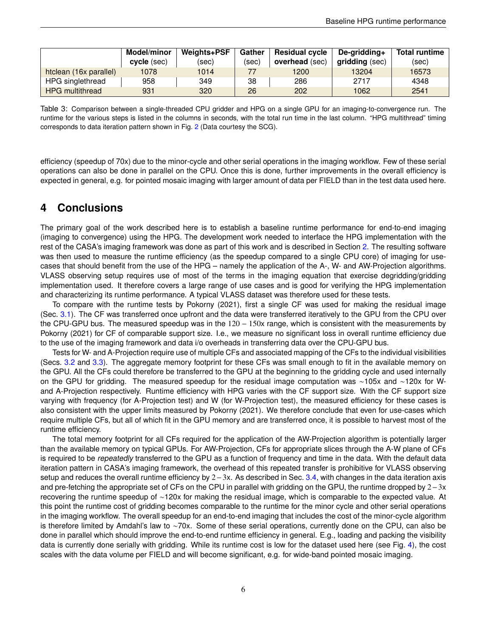<span id="page-5-0"></span>

|                        | Model/minor | Weights+PSF | Gather | <b>Residual cycle</b> | De-gridding+   | <b>Total runtime</b> |
|------------------------|-------------|-------------|--------|-----------------------|----------------|----------------------|
|                        | cycle (sec) | (sec)       | (sec)  | <b>overhead</b> (sec) | gridding (sec) | (sec)                |
| htclean (16x parallel) | 1078        | 1014        |        | 1200                  | 13204          | 16573                |
| HPG singlethread       | 958         | 349         | 38     | 286                   | 2717           | 4348                 |
| <b>HPG</b> multithread | 931         | 320         | 26     | 202                   | 1062           | 2541                 |

Table 3: Comparison between a single-threaded CPU gridder and HPG on a single GPU for an imaging-to-convergence run. The runtime for the various steps is listed in the columns in seconds, with the total run time in the last column. "HPG multithread" timing corresponds to data iteration pattern shown in Fig. [2](#page-7-0) (Data courtesy the SCG).

efficiency (speedup of 70x) due to the minor-cycle and other serial operations in the imaging workflow. Few of these serial operations can also be done in parallel on the CPU. Once this is done, further improvements in the overall efficiency is expected in general, e.g. for pointed mosaic imaging with larger amount of data per FIELD than in the test data used here.

### **4 Conclusions**

The primary goal of the work described here is to establish a baseline runtime performance for end-to-end imaging (imaging to convergence) using the HPG. The development work needed to interface the HPG implementation with the rest of the CASA's imaging framework was done as part of this work and is described in Section [2.](#page-1-0) The resulting software was then used to measure the runtime efficiency (as the speedup compared to a single CPU core) of imaging for usecases that should benefit from the use of the HPG – namely the application of the A-, W- and AW-Projection algorithms. VLASS observing setup requires use of most of the terms in the imaging equation that exercise degridding/gridding implementation used. It therefore covers a large range of use cases and is good for verifying the HPG implementation and characterizing its runtime performance. A typical VLASS dataset was therefore used for these tests.

To compare with the runtime tests by [Pokorny](#page-10-0) [\(2021\)](#page-10-0), first a single CF was used for making the residual image (Sec. [3.1\)](#page-2-3). The CF was transferred once upfront and the data were transferred iteratively to the GPU from the CPU over the CPU-GPU bus. The measured speedup was in the 120 – 150x range, which is consistent with the measurements by [Pokorny](#page-10-0) [\(2021\)](#page-10-0) for CF of comparable support size. I.e., we measure no significant loss in overall runtime efficiency due to the use of the imaging framework and data i/o overheads in transferring data over the CPU-GPU bus.

Tests for W- and A-Projection require use of multiple CFs and associated mapping of the CFs to the individual visibilities (Secs. [3.2](#page-2-4) and [3.3\)](#page-3-1). The aggregate memory footprint for these CFs was small enough to fit in the available memory on the GPU. All the CFs could therefore be transferred to the GPU at the beginning to the gridding cycle and used internally on the GPU for gridding. The measured speedup for the residual image computation was ∼105x and ∼120x for Wand A-Projection respectively. Runtime efficiency with HPG varies with the CF support size. With the CF support size varying with frequency (for A-Projection test) and W (for W-Projection test), the measured efficiency for these cases is also consistent with the upper limits measured by [Pokorny](#page-10-0) [\(2021\)](#page-10-0). We therefore conclude that even for use-cases which require multiple CFs, but all of which fit in the GPU memory and are transferred once, it is possible to harvest most of the runtime efficiency.

The total memory footprint for all CFs required for the application of the AW-Projection algorithm is potentially larger than the available memory on typical GPUs. For AW-Projection, CFs for appropriate slices through the A-W plane of CFs is required to be repeatedly transferred to the GPU as a function of frequency and time in the data. With the default data iteration pattern in CASA's imaging framework, the overhead of this repeated transfer is prohibitive for VLASS observing setup and reduces the overall runtime efficiency by 2–3x. As described in Sec. [3.4,](#page-3-2) with changes in the data iteration axis and pre-fetching the appropriate set of CFs on the CPU in parallel with gridding on the GPU, the runtime dropped by 2−3x recovering the runtime speedup of ∼120x for making the residual image, which is comparable to the expected value. At this point the runtime cost of gridding becomes comparable to the runtime for the minor cycle and other serial operations in the imaging workflow. The overall speedup for an end-to-end imaging that includes the cost of the minor-cycle algorithm is therefore limited by Amdahl's law to ∼70x. Some of these serial operations, currently done on the CPU, can also be done in parallel which should improve the end-to-end runtime efficiency in general. E.g., loading and packing the visibility data is currently done serially with gridding. While its runtime cost is low for the dataset used here (see Fig. [4\)](#page-9-0), the cost scales with the data volume per FIELD and will become significant, e.g. for wide-band pointed mosaic imaging.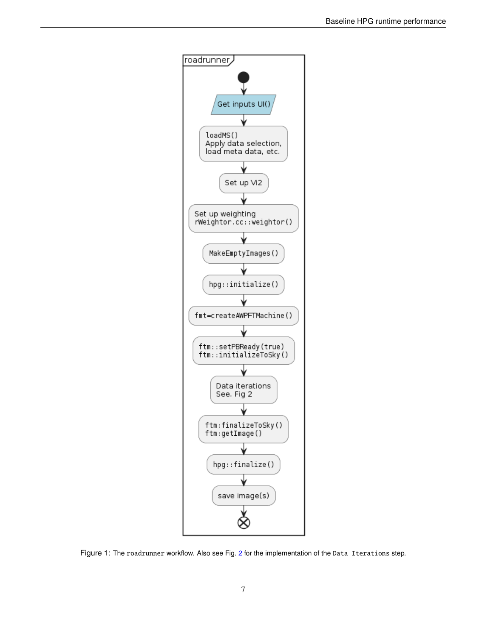<span id="page-6-0"></span>

Figure 1: The roadrunner workflow. Also see Fig. [2](#page-7-0) for the implementation of the Data Iterations step.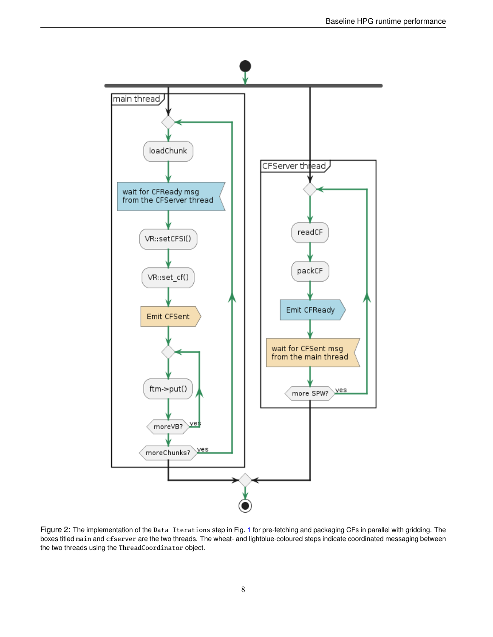<span id="page-7-0"></span>

Figure 2: The implementation of the Data Iterations step in Fig. [1](#page-6-0) for pre-fetching and packaging CFs in parallel with gridding. The boxes titled main and cfserver are the two threads. The wheat- and lightblue-coloured steps indicate coordinated messaging between the two threads using the ThreadCoordinator object.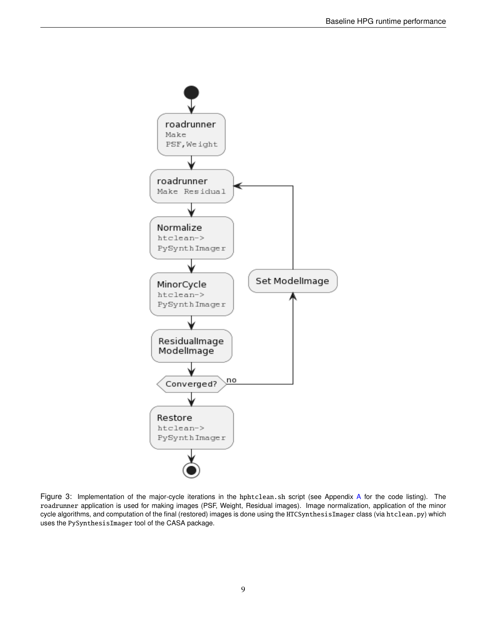<span id="page-8-0"></span>

Figure 3: Implementation of the major-cycle iterations in the hphtclean.sh script (see Appendix [A](#page-11-0) for the code listing). The roadrunner application is used for making images (PSF, Weight, Residual images). Image normalization, application of the minor cycle algorithms, and computation of the final (restored) images is done using the HTCSynthesisImager class (via htclean.py) which uses the PySynthesisImager tool of the CASA package.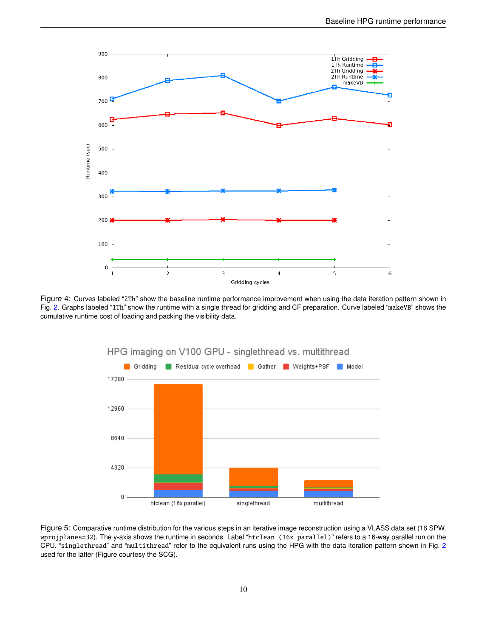<span id="page-9-0"></span>

<span id="page-9-1"></span>Figure 4: Curves labeled "2Th" show the baseline runtime performance improvement when using the data iteration pattern shown in Fig. [2.](#page-7-0) Graphs labeled "1Th" show the runtime with a single thread for gridding and CF preparation. Curve labeled "makeVB" shows the cumulative runtime cost of loading and packing the visibility data.



Figure 5: Comparative runtime distribution for the various steps in an iterative image reconstruction using a VLASS data set (16 SPW, wprojplanes=32). The y-axis shows the runtime in seconds. Label "htclean (16x parallel)" refers to a 16-way parallel run on the CPU. "singlethread" and "multithread" refer to the equivalent runs using the HPG with the data iteration pattern shown in Fig. [2](#page-7-0) used for the latter (Figure courtesy the SCG).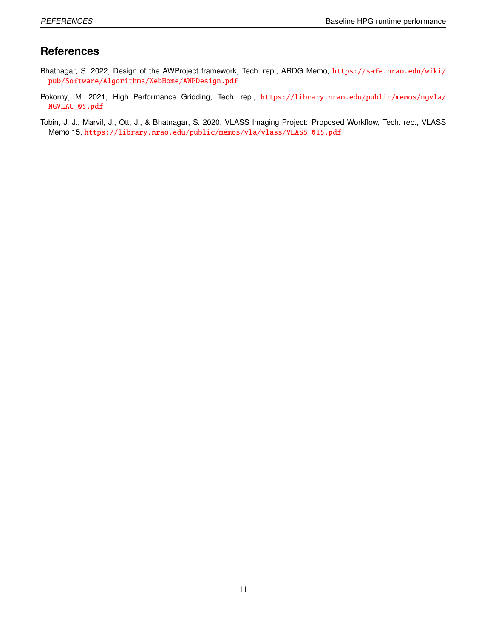## **References**

- <span id="page-10-1"></span>Bhatnagar, S. 2022, Design of the AWProject framework, Tech. rep., ARDG Memo, [https://safe.nrao.edu/wiki/](https://safe.nrao.edu/wiki/pub/Software/Algorithms/WebHome/AWPDesign.pdf) [pub/Software/Algorithms/WebHome/AWPDesign.pdf](https://safe.nrao.edu/wiki/pub/Software/Algorithms/WebHome/AWPDesign.pdf)
- <span id="page-10-0"></span>Pokorny, M. 2021, High Performance Gridding, Tech. rep., [https://library.nrao.edu/public/memos/ngvla/](https://library.nrao.edu/public/memos/ngvla/NGVLAC_05.pdf) [NGVLAC\\_05.pdf](https://library.nrao.edu/public/memos/ngvla/NGVLAC_05.pdf)
- <span id="page-10-2"></span>Tobin, J. J., Marvil, J., Ott, J., & Bhatnagar, S. 2020, VLASS Imaging Project: Proposed Workflow, Tech. rep., VLASS Memo 15, [https://library.nrao.edu/public/memos/vla/vlass/VLASS\\_015.pdf](https://library.nrao.edu/public/memos/vla/vlass/VLASS_015.pdf)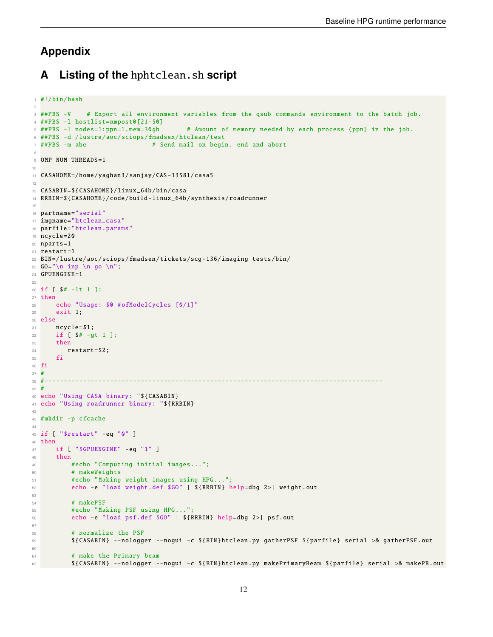# **Appendix**

## <span id="page-11-0"></span>**A Listing of the** hphtclean.sh **script**

```
1 #!/bin/bash
2
3 ##PBS -V # Export all environment variables from the qsub commands environment to the batch job.
4 ##PBS -l hostlist=nmpost0[21 -50]
5 ##PBS -l nodes=1:ppn=1,mem=30gb # Amount of memory needed by each process (ppn) in the job.
6 ##PBS -d /lustre/aoc/sciops/fmadsen/htclean/test
\frac{7}{7} ##PBS -m abe \frac{44}{7} -m \frac{44}{7} Send mail on begin, end and abort
 8
9 OMP_NUM_THREADS=1
10
11 CASAHOME =/ home/yaghan3/sanjay/CAS -13581/ casa5
12
13 CASABIN=${CASAHOME }/ linux_64b /bin/casa
14 RRBIN=${CASAHOME }/ code/build - linux_64b / synthesis / roadrunner
15
16 partname="serial"
17 imgname="htclean_casa"
18 parfile="htclean.params"
19 ncycle =20
20 nparts =1
21 restart=1
22 BIN =/ lustre/aoc/sciops/fmadsen/tickets/scg -136/ imaging_tests /bin/
23 GO="\n inp \n go \n";
24 GPUENGINE=1
25
26 if [ $# -lt 1 ];
27 then
28 echo "Usage: $0 #ofModelCycles [0/1]"
29 exit 1;
30 else
31 ncycle = $1;
32 if [ $# -gt 1 ];
33 then
34 restart=$2;
35 fi
36 fi
\begin{array}{cc}\n 37 & \text{#} \\
 38 & \text{#}\n \end{array}38 #----------------------------------------------------------------------------------------
39 #
40 echo "Using CASA binary: "${CASABIN}
41 echo "Using roadrunner binary: "${RRBIN}
42
43 #mkdir -p cfcache
44
45 if [ "$restart" -eq "0" ]
46 then
47 if [ "$GPUENGINE" -eq "1" ]
48 then
49 #echo "Computing initial images...";
50 # makeWeights
51 #echo "Making weight images using HPG...";
52 echo -e "load weight.def $GO" | ${RRBIN} help=dbg 2>| weight.out
53
54 # makePSF
55 #echo "Making PSF using HPG...";
56 echo -e "load psf.def $GO" | ${RRBIN} help=dbg 2>| psf.out
57
58 # normalize the PSF
59 ${CASABIN} --nologger --nogui -c ${BIN}htclean.py gatherPSF ${parfile} serial >& gatherPSF .out
60
61 # make the Primary beam
62 ${CASABIN} --nologger --nogui -c ${BIN}htclean.py makePrimaryBeam ${parfile} serial >& makePB.out
```